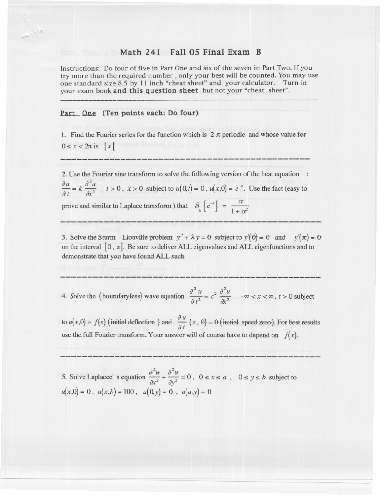## Math 241 Fall 05 Final Exam B

Instructions:. Do four of five in Part One and six of the seven in Part Two. If you try more than the required number, only your best will be counted. You may use one standard size 8.5 by 11 inch "cheat sheet" and your calculator. Turn in your exam book and this question sheet but not your "cheat sheet".

## Part One (Ten points each: Do four)

1. Find the Fourier series for the function which is  $2 \pi$  periodic and whose value for  $0 \leq x < 2\pi$  is  $\lfloor x \rfloor$ 

2. Use the Fourier sine transform to solve the following version of the heat equation :  $rac{\partial u}{\partial t} = k \frac{\partial^2 u}{\partial x^2}$   $t > 0$ ,  $x > 0$  subject to  $u(0,t) = 0$ ,  $u(x,0) = e^{-x}$ . Use the fact (easy to prove and similar to Laplace transform ) that  $\mathcal{F}\left[e^{-x}\right] = \frac{\alpha}{1+\alpha^2}$ 

3. Solve the Sturm - Liouville problem  $y'' + \lambda y = 0$  subject to  $y'(0) = 0$  and  $y'(\pi) = 0$ on the interval  $[0, \pi]$ . Be sure to deliver ALL eigenvalues and ALL eigenfunctions and to demonstrate that you have found ALL such

4. Solve the (boundaryless) wave equation  $\frac{\partial^2 u}{\partial x^2} = c^2 \frac{\partial^2 u}{\partial x^2}$  - $\infty < x < \infty$ ,  $t > 0$  subject

to  $u(x,0) = f(x)$  (initial deflection ) and  $\frac{\partial u}{\partial t}(x, 0) = 0$  (initial speed zero). For best results use the full Fourier transform. Your answer will of course have to depend on  $f(x)$ .

5. Solve Laplacee's equation  $\frac{\partial^2 u}{\partial x^2} + \frac{\partial^2 u}{\partial y^2} = 0$ ,  $0 \le x \le a$ ,  $0 \le y \le b$  subject to  $u(x,0) = 0$ ,  $u(x,b) = 100$ ,  $u(0,y) = 0$ ,  $u(a,y) = 0$